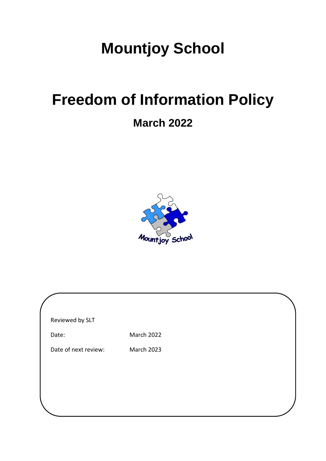## **Mountjoy School**

# **Freedom of Information Policy**

### **March 2022**



| Reviewed by SLT      |                   |  |
|----------------------|-------------------|--|
| Date:                | <b>March 2022</b> |  |
| Date of next review: | <b>March 2023</b> |  |
|                      |                   |  |
|                      |                   |  |
|                      |                   |  |
|                      |                   |  |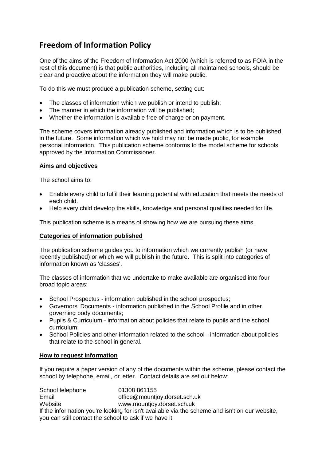### **Freedom of Information Policy**

One of the aims of the Freedom of Information Act 2000 (which is referred to as FOIA in the rest of this document) is that public authorities, including all maintained schools, should be clear and proactive about the information they will make public.

To do this we must produce a publication scheme, setting out:

- The classes of information which we publish or intend to publish;
- The manner in which the information will be published;
- Whether the information is available free of charge or on payment.

The scheme covers information already published and information which is to be published in the future. Some information which we hold may not be made public, for example personal information. This publication scheme conforms to the model scheme for schools approved by the Information Commissioner.

#### **Aims and objectives**

The school aims to:

- Enable every child to fulfil their learning potential with education that meets the needs of each child.
- Help every child develop the skills, knowledge and personal qualities needed for life.

This publication scheme is a means of showing how we are pursuing these aims.

#### **Categories of information published**

The publication scheme guides you to information which we currently publish (or have recently published) or which we will publish in the future. This is split into categories of information known as 'classes'.

The classes of information that we undertake to make available are organised into four broad topic areas:

- School Prospectus information published in the school prospectus;
- Governors' Documents information published in the School Profile and in other governing body documents;
- Pupils & Curriculum information about policies that relate to pupils and the school curriculum;
- School Policies and other information related to the school information about policies that relate to the school in general.

#### **How to request information**

If you require a paper version of any of the documents within the scheme, please contact the school by telephone, email, or letter. Contact details are set out below:

School telephone 01308 861155 Email **Email** office@mountjoy.dorset.sch.uk Website www.mountjoy.dorset.sch.uk If the information you're looking for isn't available via the scheme and isn't on our website, you can still contact the school to ask if we have it.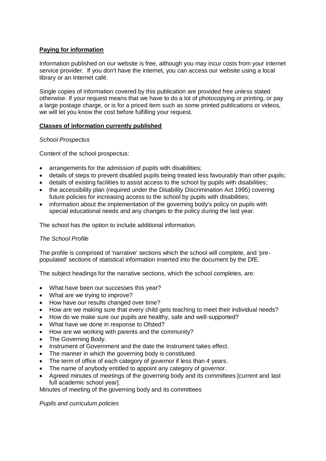#### **Paying for information**

Information published on our website is free, although you may incur costs from your internet service provider. If you don't have the internet, you can access our website using a local library or an Internet café.

Single copies of information covered by this publication are provided free unless stated otherwise. If your request means that we have to do a lot of photocopying or printing, or pay a large postage charge, or is for a priced item such as some printed publications or videos, we will let you know the cost before fulfilling your request.

#### **Classes of information currently published**

#### *School Prospectus*

Content of the school prospectus:

- arrangements for the admission of pupils with disabilities;
- details of steps to prevent disabled pupils being treated less favourably than other pupils;
- details of existing facilities to assist access to the school by pupils with disabilities;
- the accessibility plan (required under the Disability Discrimination Act 1995) covering future policies for increasing access to the school by pupils with disabilities;
- information about the implementation of the governing body's policy on pupils with special educational needs and any changes to the policy during the last year.

The school has the option to include additional information.

#### *The School Profile*

The profile is comprised of 'narrative' sections which the school will complete, and 'prepopulated' sections of statistical information inserted into the document by the DfE.

The subject headings for the narrative sections, which the school completes, are:

- What have been our successes this year?
- What are we trying to improve?
- How have our results changed over time?
- How are we making sure that every child gets teaching to meet their individual needs?
- How do we make sure our pupils are healthy, safe and well-supported?
- What have we done in response to Ofsted?
- How are we working with parents and the community?
- The Governing Body.
- Instrument of Government and the date the Instrument takes effect.
- The manner in which the governing body is constituted.
- The term of office of each category of governor if less than 4 years.
- The name of anybody entitled to appoint any category of governor.
- Agreed minutes of meetings of the governing body and its committees [current and last full academic school year].

Minutes of meeting of the governing body and its committees

*Pupils and curriculum policies*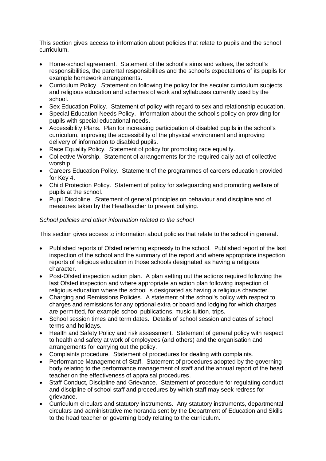This section gives access to information about policies that relate to pupils and the school curriculum.

- Home-school agreement. Statement of the school's aims and values, the school's responsibilities, the parental responsibilities and the school's expectations of its pupils for example homework arrangements.
- Curriculum Policy. Statement on following the policy for the secular curriculum subjects and religious education and schemes of work and syllabuses currently used by the school.
- Sex Education Policy. Statement of policy with regard to sex and relationship education.
- Special Education Needs Policy. Information about the school's policy on providing for pupils with special educational needs.
- Accessibility Plans. Plan for increasing participation of disabled pupils in the school's curriculum, improving the accessibility of the physical environment and improving delivery of information to disabled pupils.
- Race Equality Policy. Statement of policy for promoting race equality.
- Collective Worship. Statement of arrangements for the required daily act of collective worship.
- Careers Education Policy. Statement of the programmes of careers education provided for Key 4.
- Child Protection Policy. Statement of policy for safeguarding and promoting welfare of pupils at the school.
- Pupil Discipline. Statement of general principles on behaviour and discipline and of measures taken by the Headteacher to prevent bullying.

#### *School policies and other information related to the school*

This section gives access to information about policies that relate to the school in general.

- Published reports of Ofsted referring expressly to the school. Published report of the last inspection of the school and the summary of the report and where appropriate inspection reports of religious education in those schools designated as having a religious character.
- Post-Ofsted inspection action plan. A plan setting out the actions required following the last Ofsted inspection and where appropriate an action plan following inspection of religious education where the school is designated as having a religious character.
- Charging and Remissions Policies. A statement of the school's policy with respect to charges and remissions for any optional extra or board and lodging for which charges are permitted, for example school publications, music tuition, trips.
- School session times and term dates. Details of school session and dates of school terms and holidays.
- Health and Safety Policy and risk assessment. Statement of general policy with respect to health and safety at work of employees (and others) and the organisation and arrangements for carrying out the policy.
- Complaints procedure. Statement of procedures for dealing with complaints.
- Performance Management of Staff. Statement of procedures adopted by the governing body relating to the performance management of staff and the annual report of the head teacher on the effectiveness of appraisal procedures.
- Staff Conduct, Discipline and Grievance. Statement of procedure for regulating conduct and discipline of school staff and procedures by which staff may seek redress for grievance.
- Curriculum circulars and statutory instruments. Any statutory instruments, departmental circulars and administrative memoranda sent by the Department of Education and Skills to the head teacher or governing body relating to the curriculum.